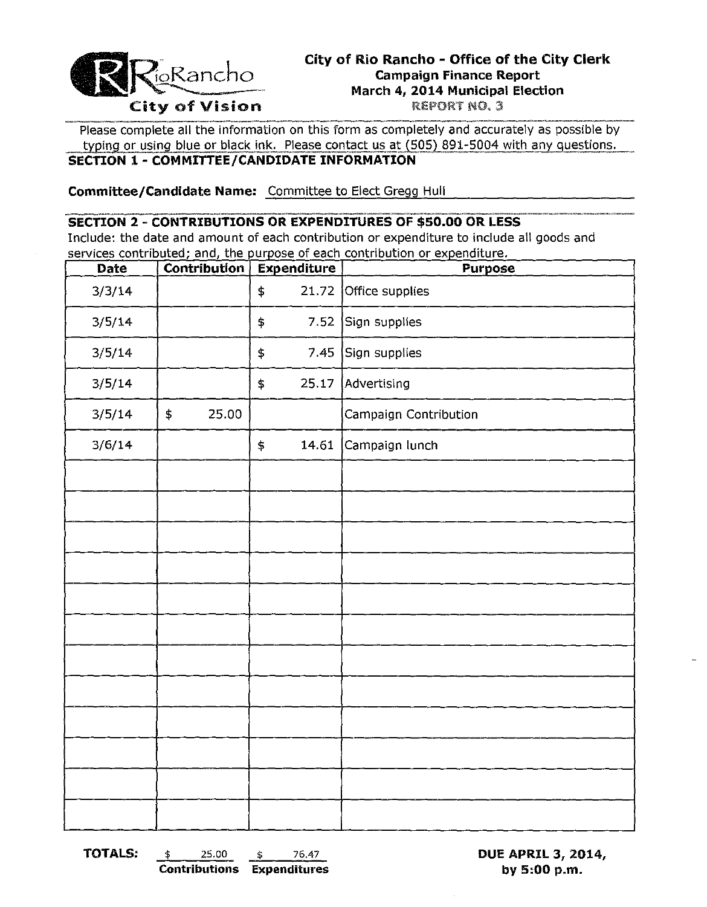

#### City of Rio Rancho - Office of the City Clerk **Campaign Finance Report** March 4, 2014 Municipal Election REPORT NO. 3

Please complete all the information on this form as completely and accurately as possible by typing or using blue or black ink. Please contact us at (505) 891-5004 with any questions. SECTION 1 - COMMITTEE/CANDIDATE INFORMATION

Committee/Candidate Name: Committee to Elect Gregg Hull

### **SECTION 2 - CONTRIBUTIONS OR EXPENDITURES OF \$50.00 OR LESS**

Include: the date and amount of each contribution or expenditure to include all goods and services contributed; and, the purpose of each contribution or expenditure.

| Contribution | <b>Expenditure</b>        | Purpose               |  |
|--------------|---------------------------|-----------------------|--|
|              | 21.72<br>$\pmb{\ddagger}$ | Office supplies       |  |
|              | 7.52<br>\$                | Sign supplies         |  |
|              | \$                        | 7.45 Sign supplies    |  |
|              | 25.17<br>\$               | Advertising           |  |
| 25.00<br>\$  |                           | Campaign Contribution |  |
|              | 14.61<br>\$               | Campaign lunch        |  |
|              |                           |                       |  |
|              |                           |                       |  |
|              |                           |                       |  |
|              |                           |                       |  |
|              |                           |                       |  |
|              |                           |                       |  |
|              |                           |                       |  |
|              |                           |                       |  |
|              |                           |                       |  |
|              |                           |                       |  |
|              |                           |                       |  |
|              |                           |                       |  |
|              |                           |                       |  |

**TOTALS:** 25.00 \$ 76.47 \$.

**Contributions Expenditures** 

**DUE APRIL 3, 2014,** by 5:00 p.m.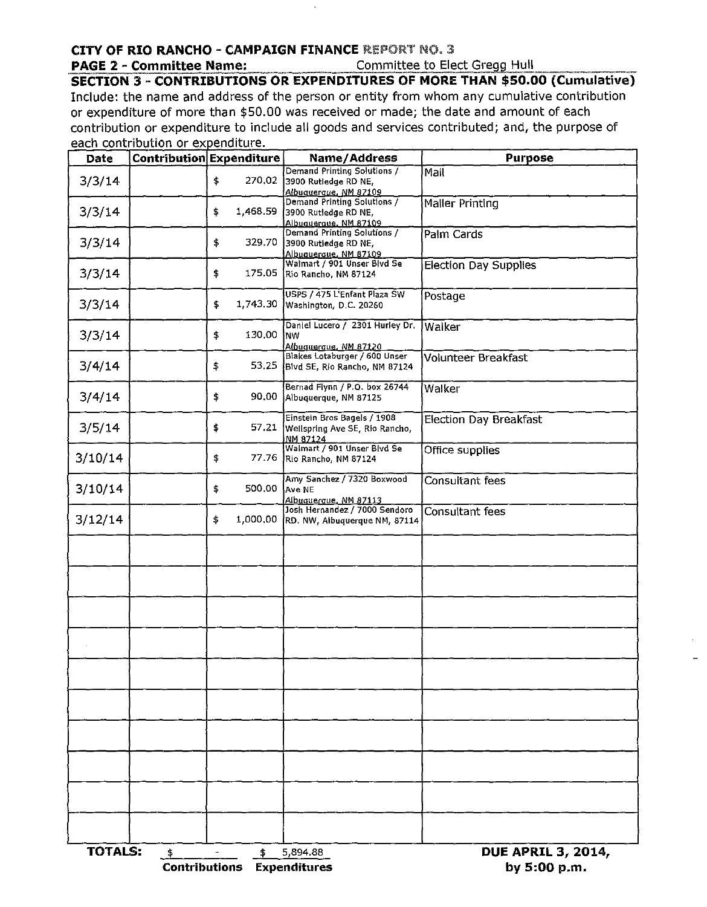## **CITY OF RIO RANCHO - CAMPAIGN FINANCE REPORT NO. 3**

#### **PAGE 2 - Committee Name:**

Committee to Elect Gregg Hull

**SECTION 3 - CONTRIBUTIONS OR EXPENDITURES OF MORE THAN \$50.00 (Cumulative)** Include: the name and address of the person or entity from whom any cumulative contribution or expenditure of more than \$50.00 was received or made; the date and amount of each contribution or expenditure to include all goods and services contributed; and, the purpose of each contribution or expenditure.

| <b>Date</b>    |                     | Contribution Expenditure | Name/Address                                                                 | <b>Purpose</b>                            |  |  |
|----------------|---------------------|--------------------------|------------------------------------------------------------------------------|-------------------------------------------|--|--|
| 3/3/14         |                     | \$<br>270,02             | Demand Printing Solutions /<br>3900 Rutledge RD NE,<br>Albuquerque, NM 87109 | Mail                                      |  |  |
| 3/3/14         |                     | 1,468.59<br>\$           | Demand Printing Solutions /<br>3900 Rutledge RD NE,<br>Albuqueraue, NM 87109 | Mailer Printing                           |  |  |
| 3/3/14         |                     | 329.70<br>\$             | Demand Printing Solutions /<br>3900 Rutledge RD NE,<br>Albuquerque, NM 87109 | Palm Cards                                |  |  |
| 3/3/14         |                     | \$<br>175.05             | Walmart / 901 Unser Blvd Se<br>Rio Rancho, NM 87124                          | <b>Election Day Supplies</b>              |  |  |
| 3/3/14         |                     | 1,743.30<br>\$           | USPS / 475 L'Enfant Plaza SW<br>Washington, D.C. 20260                       | Postage                                   |  |  |
| 3/3/14         |                     | 130.00<br>\$             | Daniel Lucero / 2301 Hurley Dr.<br>NW<br>Albuquerque, NM 87120               | Walker                                    |  |  |
| 3/4/14         |                     | \$                       | Blakes Lotaburger / 600 Unser<br>53.25 Blvd SE, Rio Rancho, NM 87124         | Volunteer Breakfast                       |  |  |
| 3/4/14         |                     | 90.00<br>\$              | Bernad Flynn / P.O. box 26744<br>Albuquerque, NM 87125                       | Walker                                    |  |  |
| 3/5/14         |                     | \$<br>57.21              | Einstein Bros Bagels / 1908<br>Wellspring Ave SE, Rio Rancho,<br>NM 87124    | <b>Election Day Breakfast</b>             |  |  |
| 3/10/14        |                     | \$<br>77.76              | Walmart / 901 Unser Blvd Se<br>Rio Rancho, NM 87124                          | Office supplies                           |  |  |
| 3/10/14        |                     | 500.00<br>\$             | Amy Sanchez / 7320 Boxwood<br>Ave NE<br>Albuquerque, NM 87113                | Consultant fees                           |  |  |
| 3/12/14        |                     | 1,000.00<br>\$           | Josh Hernandez / 7000 Sendoro<br>RD. NW, Albuquerque NM, 87114               | Consultant fees                           |  |  |
|                |                     |                          |                                                                              |                                           |  |  |
|                |                     |                          |                                                                              |                                           |  |  |
|                |                     |                          |                                                                              |                                           |  |  |
|                |                     |                          |                                                                              |                                           |  |  |
|                |                     |                          |                                                                              |                                           |  |  |
|                |                     |                          |                                                                              |                                           |  |  |
|                |                     |                          |                                                                              |                                           |  |  |
|                |                     |                          |                                                                              |                                           |  |  |
|                |                     |                          |                                                                              |                                           |  |  |
|                |                     |                          |                                                                              |                                           |  |  |
| <b>TOTALS:</b> | \$<br>Contributions | \$                       | 5,894.88<br>Expenditures                                                     | <b>DUE APRIL 3, 2014,</b><br>by 5:00 p.m. |  |  |